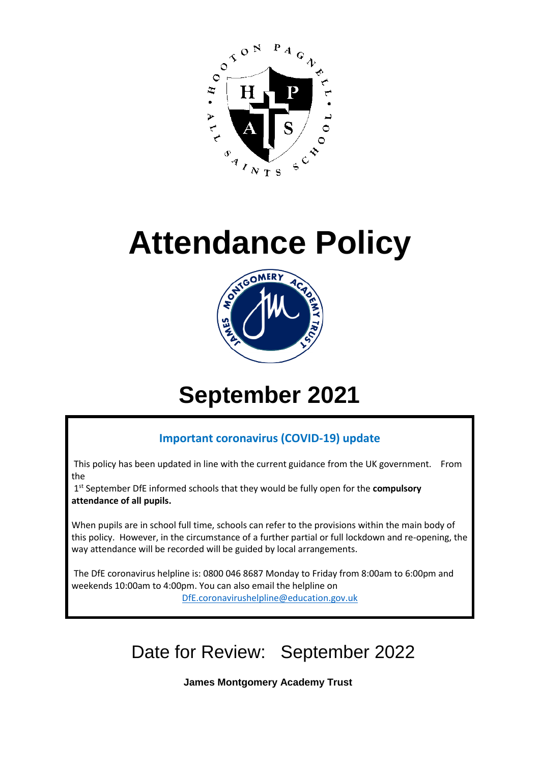

# **Attendance Policy**



## **September 2021**

### **Important coronavirus (COVID-19) update**

This policy has been updated in line with the current guidance from the UK government. From the

1 st September DfE informed schools that they would be fully open for the **compulsory attendance of all pupils.**

When pupils are in school full time, schools can refer to the provisions within the main body of this policy. However, in the circumstance of a further partial or full lockdown and re-opening, the way attendance will be recorded will be guided by local arrangements.

The DfE coronavirus helpline is: 0800 046 8687 Monday to Friday from 8:00am to 6:00pm and weekends 10:00am to 4:00pm. You can also email the helpline on [DfE.coronavirushelpline@education.gov.uk](mailto:DfE.coronavirushelpline@education.gov.uk)

Date for Review: September 2022

**James Montgomery Academy Trust**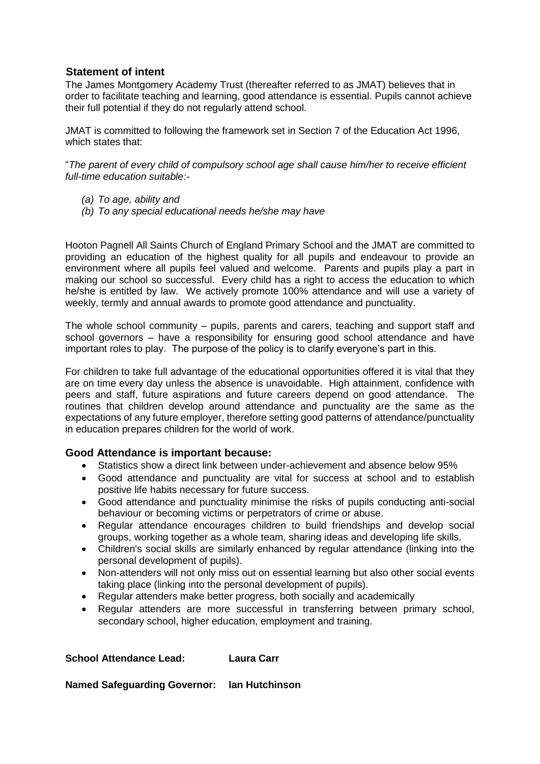#### **Statement of intent**

The James Montgomery Academy Trust (thereafter referred to as JMAT) believes that in order to facilitate teaching and learning, good attendance is essential. Pupils cannot achieve their full potential if they do not regularly attend school.

JMAT is committed to following the framework set in Section 7 of the Education Act 1996, which states that:

"*The parent of every child of compulsory school age shall cause him/her to receive efficient full-time education suitable:-*

- *(a) To age, ability and*
- *(b) To any special educational needs he/she may have*

Hooton Pagnell All Saints Church of England Primary School and the JMAT are committed to providing an education of the highest quality for all pupils and endeavour to provide an environment where all pupils feel valued and welcome. Parents and pupils play a part in making our school so successful. Every child has a right to access the education to which he/she is entitled by law. We actively promote 100% attendance and will use a variety of weekly, termly and annual awards to promote good attendance and punctuality.

The whole school community – pupils, parents and carers, teaching and support staff and school governors – have a responsibility for ensuring good school attendance and have important roles to play. The purpose of the policy is to clarify everyone's part in this.

For children to take full advantage of the educational opportunities offered it is vital that they are on time every day unless the absence is unavoidable. High attainment, confidence with peers and staff, future aspirations and future careers depend on good attendance. The routines that children develop around attendance and punctuality are the same as the expectations of any future employer, therefore setting good patterns of attendance/punctuality in education prepares children for the world of work.

#### **Good Attendance is important because:**

- Statistics show a direct link between under-achievement and absence below 95%
- Good attendance and punctuality are vital for success at school and to establish positive life habits necessary for future success.
- Good attendance and punctuality minimise the risks of pupils conducting anti-social behaviour or becoming victims or perpetrators of crime or abuse.
- Regular attendance encourages children to build friendships and develop social groups, working together as a whole team, sharing ideas and developing life skills.
- Children's social skills are similarly enhanced by regular attendance (linking into the personal development of pupils).
- Non-attenders will not only miss out on essential learning but also other social events taking place (linking into the personal development of pupils).
- Regular attenders make better progress, both socially and academically
- Regular attenders are more successful in transferring between primary school, secondary school, higher education, employment and training.

#### **School Attendance Lead: Laura Carr**

#### **Named Safeguarding Governor: Ian Hutchinson**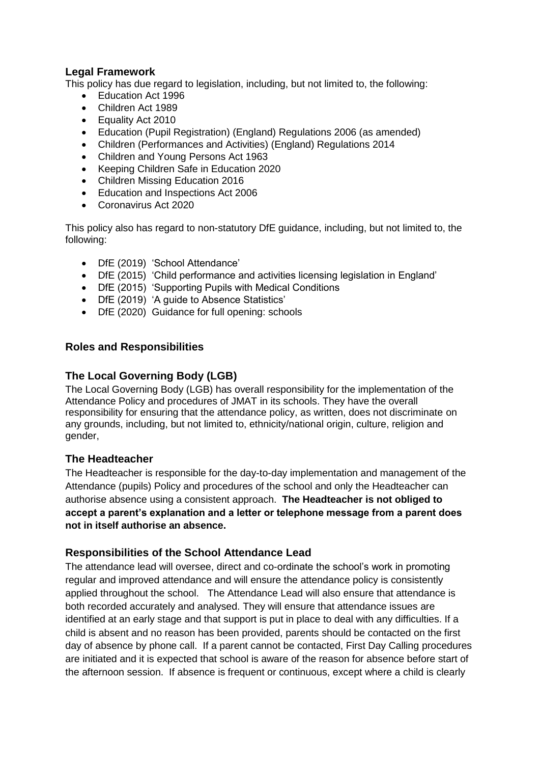#### **Legal Framework**

This policy has due regard to legislation, including, but not limited to, the following:

- Education Act 1996
- Children Act 1989
- Equality Act 2010
- Education (Pupil Registration) (England) Regulations 2006 (as amended)
- Children (Performances and Activities) (England) Regulations 2014
- Children and Young Persons Act 1963
- Keeping Children Safe in Education 2020
- Children Missing Education 2016
- Education and Inspections Act 2006
- Coronavirus Act 2020

This policy also has regard to non-statutory DfE guidance, including, but not limited to, the following:

- DfE (2019) 'School Attendance'
- DfE (2015) 'Child performance and activities licensing legislation in England'
- DfE (2015) 'Supporting Pupils with Medical Conditions
- DfE (2019) 'A guide to Absence Statistics'
- DfE (2020) Guidance for full opening: schools

#### **Roles and Responsibilities**

#### **The Local Governing Body (LGB)**

The Local Governing Body (LGB) has overall responsibility for the implementation of the Attendance Policy and procedures of JMAT in its schools. They have the overall responsibility for ensuring that the attendance policy, as written, does not discriminate on any grounds, including, but not limited to, ethnicity/national origin, culture, religion and gender,

#### **The Headteacher**

The Headteacher is responsible for the day-to-day implementation and management of the Attendance (pupils) Policy and procedures of the school and only the Headteacher can authorise absence using a consistent approach. **The Headteacher is not obliged to accept a parent's explanation and a letter or telephone message from a parent does not in itself authorise an absence.** 

#### **Responsibilities of the School Attendance Lead**

The attendance lead will oversee, direct and co-ordinate the school's work in promoting regular and improved attendance and will ensure the attendance policy is consistently applied throughout the school. The Attendance Lead will also ensure that attendance is both recorded accurately and analysed. They will ensure that attendance issues are identified at an early stage and that support is put in place to deal with any difficulties. If a child is absent and no reason has been provided, parents should be contacted on the first day of absence by phone call. If a parent cannot be contacted, First Day Calling procedures are initiated and it is expected that school is aware of the reason for absence before start of the afternoon session. If absence is frequent or continuous, except where a child is clearly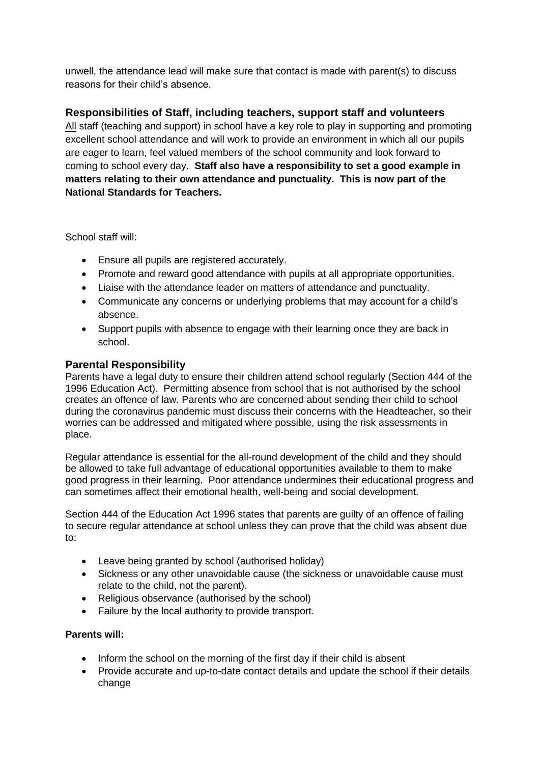unwell, the attendance lead will make sure that contact is made with parent(s) to discuss reasons for their child's absence.

#### **Responsibilities of Staff, including teachers, support staff and volunteers**

All staff (teaching and support) in school have a key role to play in supporting and promoting excellent school attendance and will work to provide an environment in which all our pupils are eager to learn, feel valued members of the school community and look forward to coming to school every day. **Staff also have a responsibility to set a good example in matters relating to their own attendance and punctuality. This is now part of the National Standards for Teachers.** 

School staff will:

- Ensure all pupils are registered accurately.
- Promote and reward good attendance with pupils at all appropriate opportunities.
- Liaise with the attendance leader on matters of attendance and punctuality.
- Communicate any concerns or underlying problems that may account for a child's absence.
- Support pupils with absence to engage with their learning once they are back in school.

#### **Parental Responsibility**

Parents have a legal duty to ensure their children attend school regularly (Section 444 of the 1996 Education Act). Permitting absence from school that is not authorised by the school creates an offence of law. Parents who are concerned about sending their child to school during the coronavirus pandemic must discuss their concerns with the Headteacher, so their worries can be addressed and mitigated where possible, using the risk assessments in place.

Regular attendance is essential for the all-round development of the child and they should be allowed to take full advantage of educational opportunities available to them to make good progress in their learning. Poor attendance undermines their educational progress and can sometimes affect their emotional health, well-being and social development.

Section 444 of the Education Act 1996 states that parents are guilty of an offence of failing to secure regular attendance at school unless they can prove that the child was absent due to:

- Leave being granted by school (authorised holiday)
- Sickness or any other unavoidable cause (the sickness or unavoidable cause must relate to the child, not the parent).
- Religious observance (authorised by the school)
- Failure by the local authority to provide transport.

#### **Parents will:**

- Inform the school on the morning of the first day if their child is absent
- Provide accurate and up-to-date contact details and update the school if their details change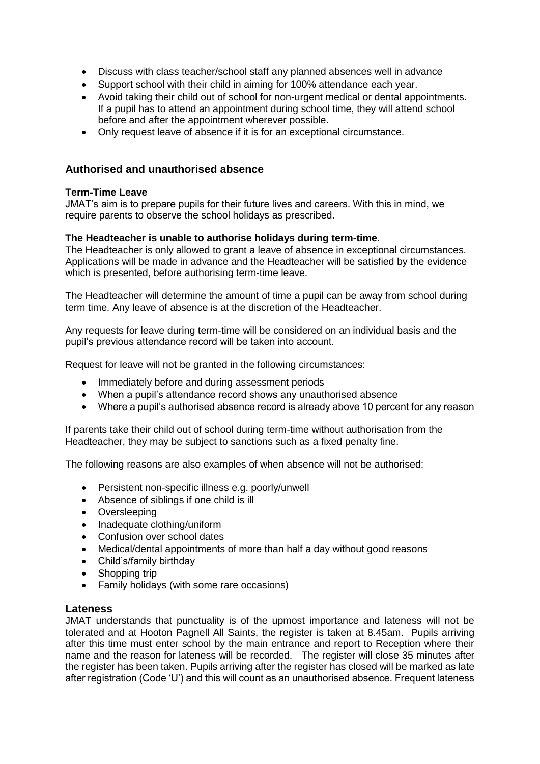- Discuss with class teacher/school staff any planned absences well in advance
- Support school with their child in aiming for 100% attendance each year.
- Avoid taking their child out of school for non-urgent medical or dental appointments. If a pupil has to attend an appointment during school time, they will attend school before and after the appointment wherever possible.
- Only request leave of absence if it is for an exceptional circumstance.

#### **Authorised and unauthorised absence**

#### **Term-Time Leave**

JMAT's aim is to prepare pupils for their future lives and careers. With this in mind, we require parents to observe the school holidays as prescribed.

#### **The Headteacher is unable to authorise holidays during term-time.**

The Headteacher is only allowed to grant a leave of absence in exceptional circumstances. Applications will be made in advance and the Headteacher will be satisfied by the evidence which is presented, before authorising term-time leave.

The Headteacher will determine the amount of time a pupil can be away from school during term time. Any leave of absence is at the discretion of the Headteacher.

Any requests for leave during term-time will be considered on an individual basis and the pupil's previous attendance record will be taken into account.

Request for leave will not be granted in the following circumstances:

- Immediately before and during assessment periods
- When a pupil's attendance record shows any unauthorised absence
- Where a pupil's authorised absence record is already above 10 percent for any reason

If parents take their child out of school during term-time without authorisation from the Headteacher, they may be subject to sanctions such as a fixed penalty fine.

The following reasons are also examples of when absence will not be authorised:

- Persistent non-specific illness e.g. poorly/unwell
- Absence of siblings if one child is ill
- Oversleeping
- Inadequate clothing/uniform
- Confusion over school dates
- Medical/dental appointments of more than half a day without good reasons
- Child's/family birthday
- Shopping trip
- Family holidays (with some rare occasions)

#### **Lateness**

JMAT understands that punctuality is of the upmost importance and lateness will not be tolerated and at Hooton Pagnell All Saints, the register is taken at 8.45am. Pupils arriving after this time must enter school by the main entrance and report to Reception where their name and the reason for lateness will be recorded. The register will close 35 minutes after the register has been taken. Pupils arriving after the register has closed will be marked as late after registration (Code 'U') and this will count as an unauthorised absence. Frequent lateness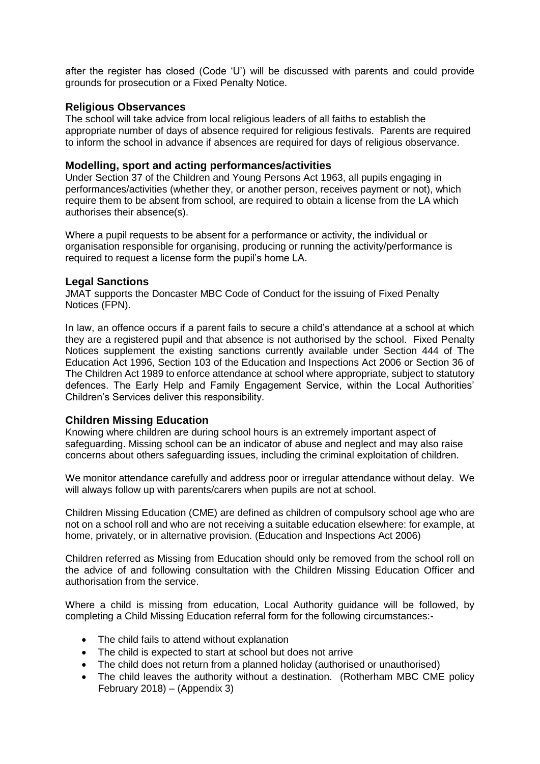after the register has closed (Code 'U') will be discussed with parents and could provide grounds for prosecution or a Fixed Penalty Notice.

#### **Religious Observances**

The school will take advice from local religious leaders of all faiths to establish the appropriate number of days of absence required for religious festivals. Parents are required to inform the school in advance if absences are required for days of religious observance.

#### **Modelling, sport and acting performances/activities**

Under Section 37 of the Children and Young Persons Act 1963, all pupils engaging in performances/activities (whether they, or another person, receives payment or not), which require them to be absent from school, are required to obtain a license from the LA which authorises their absence(s).

Where a pupil requests to be absent for a performance or activity, the individual or organisation responsible for organising, producing or running the activity/performance is required to request a license form the pupil's home LA.

#### **Legal Sanctions**

JMAT supports the Doncaster MBC Code of Conduct for the issuing of Fixed Penalty Notices (FPN).

In law, an offence occurs if a parent fails to secure a child's attendance at a school at which they are a registered pupil and that absence is not authorised by the school. Fixed Penalty Notices supplement the existing sanctions currently available under Section 444 of The Education Act 1996, Section 103 of the Education and Inspections Act 2006 or Section 36 of The Children Act 1989 to enforce attendance at school where appropriate, subject to statutory defences. The Early Help and Family Engagement Service, within the Local Authorities' Children's Services deliver this responsibility.

#### **Children Missing Education**

Knowing where children are during school hours is an extremely important aspect of safeguarding. Missing school can be an indicator of abuse and neglect and may also raise concerns about others safeguarding issues, including the criminal exploitation of children.

We monitor attendance carefully and address poor or irregular attendance without delay. We will always follow up with parents/carers when pupils are not at school.

Children Missing Education (CME) are defined as children of compulsory school age who are not on a school roll and who are not receiving a suitable education elsewhere: for example, at home, privately, or in alternative provision. (Education and Inspections Act 2006)

Children referred as Missing from Education should only be removed from the school roll on the advice of and following consultation with the Children Missing Education Officer and authorisation from the service.

Where a child is missing from education, Local Authority guidance will be followed, by completing a Child Missing Education referral form for the following circumstances:-

- The child fails to attend without explanation
- The child is expected to start at school but does not arrive
- The child does not return from a planned holiday (authorised or unauthorised)
- The child leaves the authority without a destination. (Rotherham MBC CME policy February 2018) – (Appendix 3)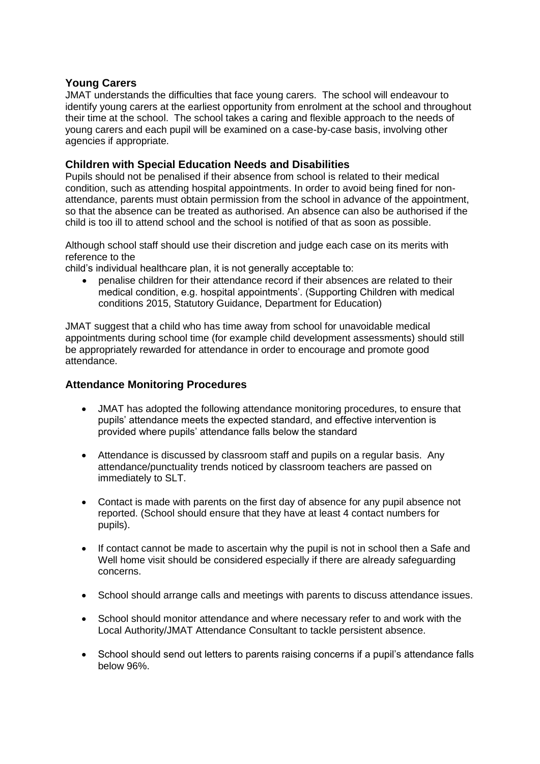#### **Young Carers**

JMAT understands the difficulties that face young carers. The school will endeavour to identify young carers at the earliest opportunity from enrolment at the school and throughout their time at the school. The school takes a caring and flexible approach to the needs of young carers and each pupil will be examined on a case-by-case basis, involving other agencies if appropriate.

#### **Children with Special Education Needs and Disabilities**

Pupils should not be penalised if their absence from school is related to their medical condition, such as attending hospital appointments. In order to avoid being fined for nonattendance, parents must obtain permission from the school in advance of the appointment, so that the absence can be treated as authorised. An absence can also be authorised if the child is too ill to attend school and the school is notified of that as soon as possible.

Although school staff should use their discretion and judge each case on its merits with reference to the

child's individual healthcare plan, it is not generally acceptable to:

 penalise children for their attendance record if their absences are related to their medical condition, e.g. hospital appointments'. (Supporting Children with medical conditions 2015, Statutory Guidance, Department for Education)

JMAT suggest that a child who has time away from school for unavoidable medical appointments during school time (for example child development assessments) should still be appropriately rewarded for attendance in order to encourage and promote good attendance.

#### **Attendance Monitoring Procedures**

- JMAT has adopted the following attendance monitoring procedures, to ensure that pupils' attendance meets the expected standard, and effective intervention is provided where pupils' attendance falls below the standard
- Attendance is discussed by classroom staff and pupils on a regular basis. Any attendance/punctuality trends noticed by classroom teachers are passed on immediately to SLT.
- Contact is made with parents on the first day of absence for any pupil absence not reported. (School should ensure that they have at least 4 contact numbers for pupils).
- If contact cannot be made to ascertain why the pupil is not in school then a Safe and Well home visit should be considered especially if there are already safeguarding concerns.
- School should arrange calls and meetings with parents to discuss attendance issues.
- School should monitor attendance and where necessary refer to and work with the Local Authority/JMAT Attendance Consultant to tackle persistent absence.
- School should send out letters to parents raising concerns if a pupil's attendance falls below 96%.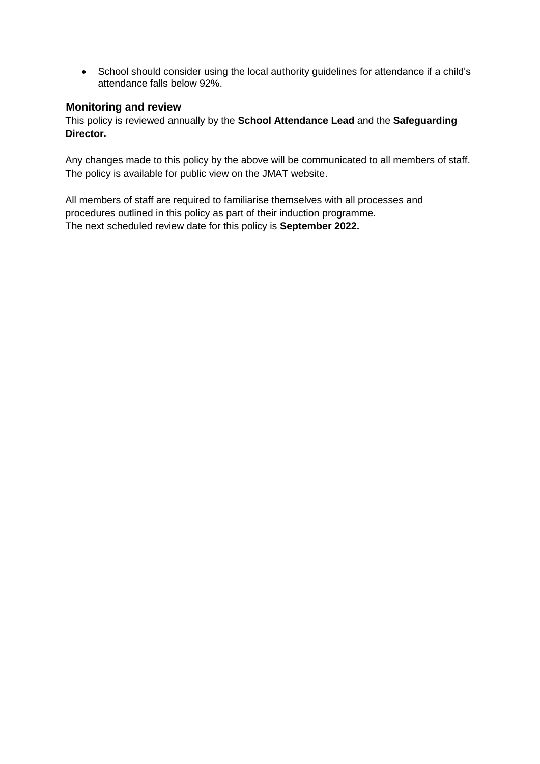• School should consider using the local authority guidelines for attendance if a child's attendance falls below 92%.

#### **Monitoring and review**

This policy is reviewed annually by the **School Attendance Lead** and the **Safeguarding Director.**

Any changes made to this policy by the above will be communicated to all members of staff. The policy is available for public view on the JMAT website.

All members of staff are required to familiarise themselves with all processes and procedures outlined in this policy as part of their induction programme. The next scheduled review date for this policy is **September 2022.**